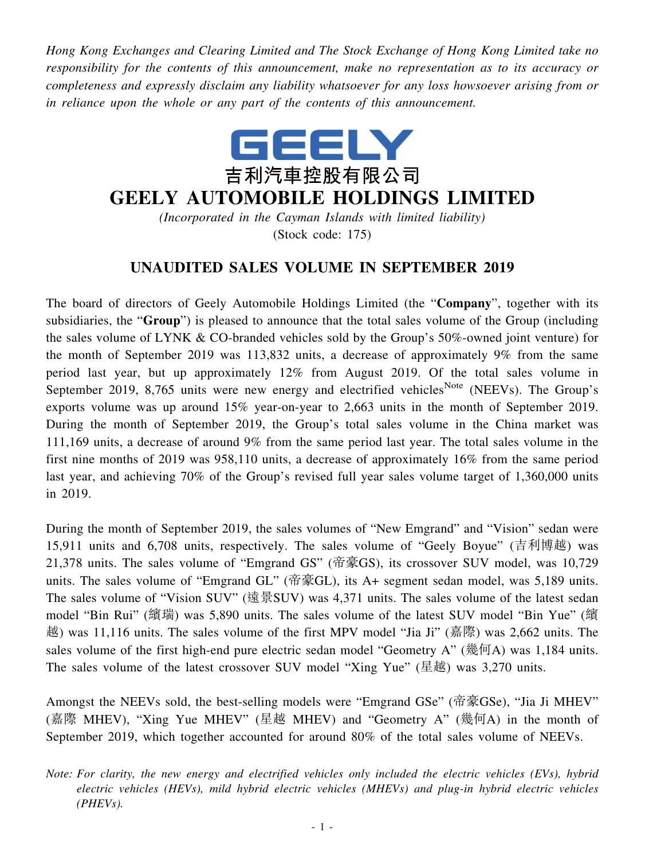*Hong Kong Exchanges and Clearing Limited and The Stock Exchange of Hong Kong Limited take no responsibility for the contents of this announcement, make no representation as to its accuracy or completeness and expressly disclaim any liability whatsoever for any loss howsoever arising from or in reliance upon the whole or any part of the contents of this announcement.*



## **GEELY AUTOMOBILE HOLDINGS LIMITED**

*(Incorporated in the Cayman Islands with limited liability)* (Stock code: 175)

## **UNAUDITED SALES VOLUME IN SEPTEMBER 2019**

The board of directors of Geely Automobile Holdings Limited (the "**Company**", together with its subsidiaries, the "**Group**") is pleased to announce that the total sales volume of the Group (including the sales volume of LYNK & CO-branded vehicles sold by the Group's 50%-owned joint venture) for the month of September 2019 was 113,832 units, a decrease of approximately 9% from the same period last year, but up approximately 12% from August 2019. Of the total sales volume in September 2019, 8,765 units were new energy and electrified vehicles<sup>Note</sup> (NEEVs). The Group's exports volume was up around 15% year-on-year to 2,663 units in the month of September 2019. During the month of September 2019, the Group's total sales volume in the China market was 111,169 units, a decrease of around 9% from the same period last year. The total sales volume in the first nine months of 2019 was 958,110 units, a decrease of approximately 16% from the same period last year, and achieving 70% of the Group's revised full year sales volume target of 1,360,000 units in 2019.

During the month of September 2019, the sales volumes of "New Emgrand" and "Vision" sedan were 15,911 units and 6,708 units, respectively. The sales volume of "Geely Boyue" (吉利博越) was 21,378 units. The sales volume of "Emgrand GS" (帝豪GS), its crossover SUV model, was 10,729 units. The sales volume of "Emgrand GL" (帝豪GL), its A+ segment sedan model, was 5,189 units. The sales volume of "Vision SUV" (遠景SUV) was 4,371 units. The sales volume of the latest sedan model "Bin Rui" (繽瑞) was 5,890 units. The sales volume of the latest SUV model "Bin Yue" (繽 越) was 11,116 units. The sales volume of the first MPV model "Jia Ji" (嘉際) was 2,662 units. The sales volume of the first high-end pure electric sedan model "Geometry A" (幾何A) was 1,184 units. The sales volume of the latest crossover SUV model "Xing Yue" (星越) was 3,270 units.

Amongst the NEEVs sold, the best-selling models were "Emgrand GSe" (帝豪GSe), "Jia Ji MHEV" (嘉際 MHEV), "Xing Yue MHEV" (星越 MHEV) and "Geometry A" (幾何A) in the month of September 2019, which together accounted for around 80% of the total sales volume of NEEVs.

*Note: For clarity, the new energy and electrified vehicles only included the electric vehicles (EVs), hybrid electric vehicles (HEVs), mild hybrid electric vehicles (MHEVs) and plug-in hybrid electric vehicles (PHEVs).*